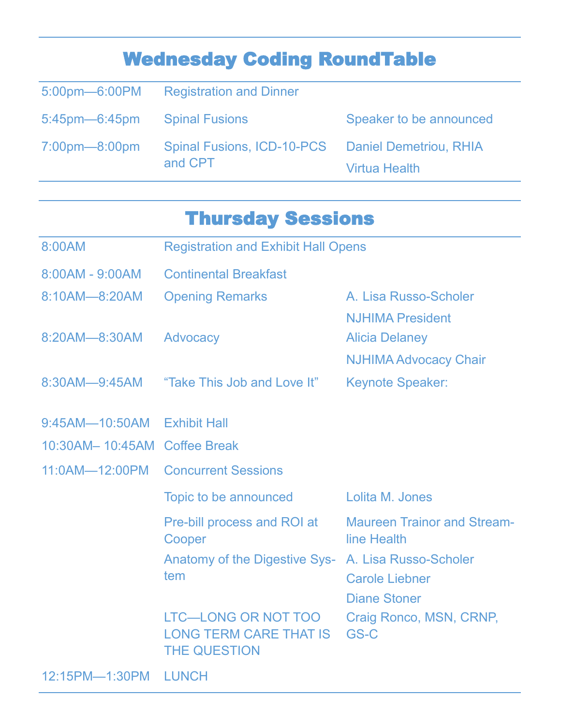## Wednesday Coding RoundTable

|                              | 5:00pm-6:00PM Registration and Dinner                        |                         |
|------------------------------|--------------------------------------------------------------|-------------------------|
| 5:45pm—6:45pm Spinal Fusions |                                                              | Speaker to be announced |
| $7:00$ pm $-8:00$ pm         | Spinal Fusions, ICD-10-PCS Daniel Demetriou, RHIA<br>and CPT | <b>Virtua Health</b>    |

## Thursday Sessions

| 8:00AM                       | <b>Registration and Exhibit Hall Opens</b>                                         |                                                                                  |  |
|------------------------------|------------------------------------------------------------------------------------|----------------------------------------------------------------------------------|--|
| 8:00AM - 9:00AM              | <b>Continental Breakfast</b>                                                       |                                                                                  |  |
| 8:10AM-8:20AM                | <b>Opening Remarks</b>                                                             | A. Lisa Russo-Scholer                                                            |  |
| 8:20AM-8:30AM                | Advocacy                                                                           | <b>NJHIMA President</b><br><b>Alicia Delaney</b><br><b>NJHIMA Advocacy Chair</b> |  |
| 8:30AM-9:45AM                | "Take This Job and Love It"                                                        | <b>Keynote Speaker:</b>                                                          |  |
| 9:45AM-10:50AM Exhibit Hall  |                                                                                    |                                                                                  |  |
| 10:30AM-10:45AM Coffee Break |                                                                                    |                                                                                  |  |
| 11:0AM-12:00PM               | <b>Concurrent Sessions</b>                                                         |                                                                                  |  |
|                              | Topic to be announced                                                              | Lolita M. Jones                                                                  |  |
|                              | Pre-bill process and ROI at<br>Cooper                                              | <b>Maureen Trainor and Stream-</b><br>line Health                                |  |
|                              | <b>Anatomy of the Digestive Sys-</b><br>tem                                        | A. Lisa Russo-Scholer<br><b>Carole Liebner</b><br><b>Diane Stoner</b>            |  |
|                              | <b>LTC-LONG OR NOT TOO</b><br><b>LONG TERM CARE THAT IS</b><br><b>THE QUESTION</b> | Craig Ronco, MSN, CRNP,<br>GS-C                                                  |  |

12:15PM—1:30PM LUNCH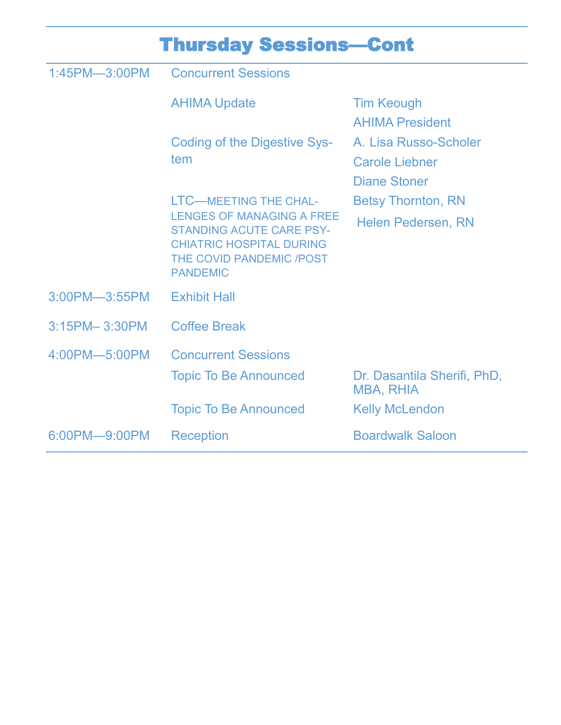| <b>Thursday Sessions-Cont</b> |                                                                                                                                                                                       |                                                                       |  |  |
|-------------------------------|---------------------------------------------------------------------------------------------------------------------------------------------------------------------------------------|-----------------------------------------------------------------------|--|--|
| 1:45PM-3:00PM                 | <b>Concurrent Sessions</b>                                                                                                                                                            |                                                                       |  |  |
|                               | <b>AHIMA Update</b>                                                                                                                                                                   | <b>Tim Keough</b><br><b>AHIMA President</b>                           |  |  |
|                               | Coding of the Digestive Sys-<br>tem                                                                                                                                                   | A. Lisa Russo-Scholer<br><b>Carole Liebner</b><br><b>Diane Stoner</b> |  |  |
|                               | <b>LTC-MEETING THE CHAL-</b><br><b>LENGES OF MANAGING A FREE</b><br><b>STANDING ACUTE CARE PSY-</b><br><b>CHIATRIC HOSPITAL DURING</b><br>THE COVID PANDEMIC /POST<br><b>PANDEMIC</b> | <b>Betsy Thornton, RN</b>                                             |  |  |
|                               |                                                                                                                                                                                       | <b>Helen Pedersen, RN</b>                                             |  |  |
| 3:00PM-3:55PM                 | <b>Exhibit Hall</b>                                                                                                                                                                   |                                                                       |  |  |
| 3:15PM-3:30PM                 | <b>Coffee Break</b>                                                                                                                                                                   |                                                                       |  |  |
| 4:00PM-5:00PM                 | <b>Concurrent Sessions</b>                                                                                                                                                            |                                                                       |  |  |
|                               | <b>Topic To Be Announced</b>                                                                                                                                                          | Dr. Dasantila Sherifi, PhD,<br>MBA, RHIA                              |  |  |
|                               | <b>Topic To Be Announced</b>                                                                                                                                                          | <b>Kelly McLendon</b>                                                 |  |  |
| 6:00PM-9:00PM                 | <b>Reception</b>                                                                                                                                                                      | <b>Boardwalk Saloon</b>                                               |  |  |